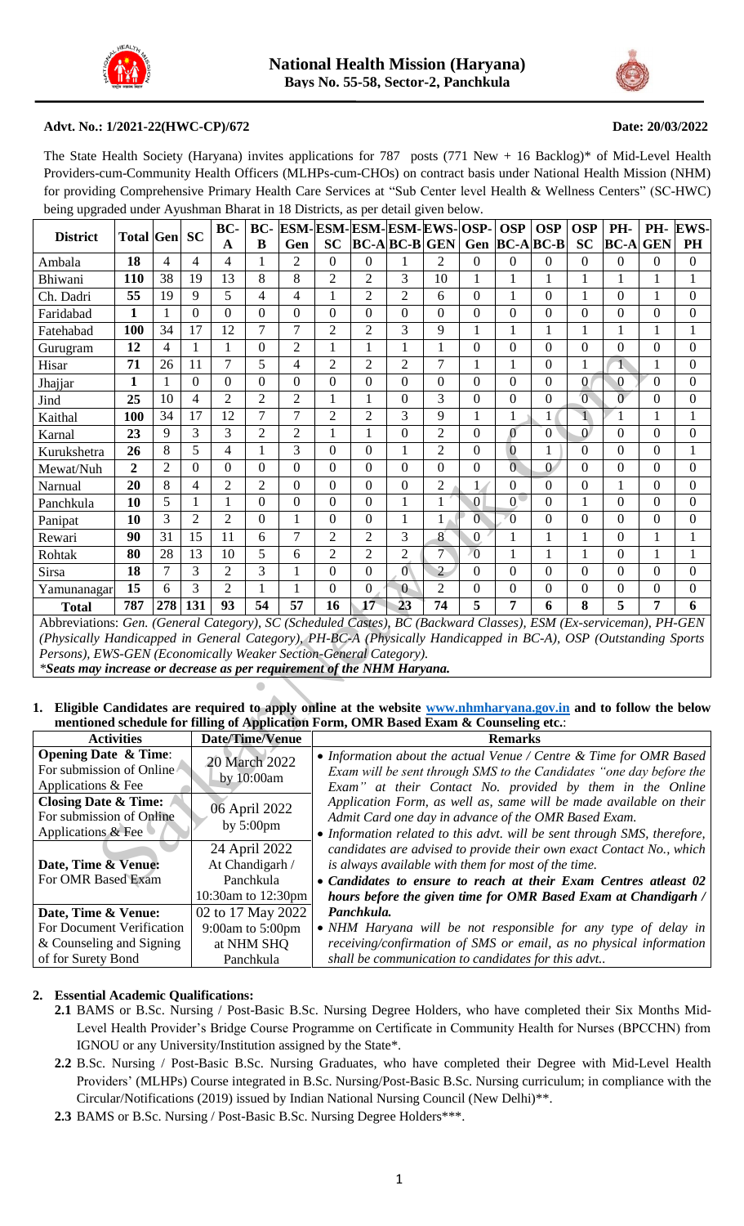



#### **Advt. No.: 1/2021-22(HWC-CP)/672 Date: 20/03/2022**

The State Health Society (Haryana) invites applications for 787 posts (771 New + 16 Backlog)\* of Mid-Level Health Providers-cum-Community Health Officers (MLHPs-cum-CHOs) on contract basis under National Health Mission (NHM) for providing Comprehensive Primary Health Care Services at "Sub Center level Health & Wellness Centers" (SC-HWC) being upgraded under Ayushman Bharat in 18 Districts, as per detail given below.

|                                                                                                                                             |                     |                |                  | BC-                                  | BC-            | <b>ESM-ESM-ESM-ESM-EWS-OSP-</b> |                                                                                                                                  |                |                  |                  |                  | <b>OSP</b>     | <b>OSP</b>       | <b>OSP</b>     | PH-             | PH-              | <b>EWS-</b>      |
|---------------------------------------------------------------------------------------------------------------------------------------------|---------------------|----------------|------------------|--------------------------------------|----------------|---------------------------------|----------------------------------------------------------------------------------------------------------------------------------|----------------|------------------|------------------|------------------|----------------|------------------|----------------|-----------------|------------------|------------------|
| <b>District</b>                                                                                                                             | <b>Total Gen SC</b> |                |                  | A                                    | B              | Gen                             | <b>SC</b>                                                                                                                        |                | $BC-A BC-B GEN$  |                  |                  |                | Gen $BC-A BC-B$  | <b>SC</b>      | <b>BC-A GEN</b> |                  | PH               |
| Ambala                                                                                                                                      | 18                  | 4              | 4                | 4                                    | 1              | 2                               | 0                                                                                                                                | 0              |                  | 2                | 0                | 0              | $\Omega$         | $\Omega$       | 0               | 0                | $\theta$         |
| Bhiwani                                                                                                                                     | 110                 | 38             | 19               | 13                                   | 8              | 8                               | $\overline{2}$                                                                                                                   | $\overline{2}$ | 3                | 10               | $\mathbf{1}$     | 1              | 1                | 1              | 1               | 1                | 1                |
| Ch. Dadri                                                                                                                                   | 55                  | 19             | 9                | 5                                    | 4              | 4                               | 1                                                                                                                                | $\overline{2}$ | 2                | 6                | 0                | 1              | $\theta$         | 1              | $\Omega$        | 1                | $\overline{0}$   |
| Faridabad                                                                                                                                   | 1                   |                | $\boldsymbol{0}$ | $\overline{0}$                       | $\theta$       | 0                               | $\theta$                                                                                                                         | $\overline{0}$ | $\overline{0}$   | $\overline{0}$   | $\overline{0}$   | $\overline{0}$ | $\theta$         | $\theta$       | $\theta$        | 0                | $\theta$         |
| Fatehabad                                                                                                                                   | 100                 | 34             | 17               | 12                                   | 7              | $\overline{7}$                  | $\overline{2}$                                                                                                                   | $\overline{2}$ | 3                | 9                | $\mathbf{1}$     | $\mathbf{1}$   | $\mathbf{1}$     | $\mathbf{1}$   | $\mathbf{1}$    | $\mathbf{1}$     | $\mathbf{1}$     |
| Gurugram                                                                                                                                    | 12                  | 4              | 1                | 1                                    | $\overline{0}$ | $\overline{2}$                  | 1                                                                                                                                | 1              | 1                | 1                | 0                | $\Omega$       | $\theta$         | $\Omega$       | $\Omega$        | 0                | $\overline{0}$   |
| Hisar                                                                                                                                       | 71                  | 26             | 11               | 7                                    | 5              | 4                               | $\overline{2}$                                                                                                                   | $\overline{2}$ | 2                | 7                | 1                | $\mathbf{1}$   | $\boldsymbol{0}$ | 1              |                 | 1                | $\boldsymbol{0}$ |
| Jhajjar                                                                                                                                     | $\mathbf{1}$        | 1              | $\boldsymbol{0}$ | $\mathbf{0}$                         | $\mathbf{0}$   | $\overline{0}$                  | $\overline{0}$                                                                                                                   | $\overline{0}$ | $\overline{0}$   | $\overline{0}$   | $\overline{0}$   | $\overline{0}$ | $\overline{0}$   | $\overline{0}$ | $\mathbf{0}$    | $\boldsymbol{0}$ | $\overline{0}$   |
| Jind                                                                                                                                        | 25                  | 10             | 4                | $\overline{2}$                       | $\overline{2}$ | $\overline{c}$                  | 1                                                                                                                                | 1              | $\Omega$         | 3                | $\Omega$         | $\Omega$       | $\Omega$         | $\overline{0}$ | $\overline{0}$  | 0                | $\theta$         |
| Kaithal                                                                                                                                     | <b>100</b>          | 34             | 17               | 12                                   | 7              | $\overline{7}$                  | 2                                                                                                                                | $\overline{2}$ | 3                | 9                | 1                | 1              | 1                | $\mathbf 1$    |                 | 1                | 1                |
| Karnal                                                                                                                                      | 23                  | 9              | 3                | 3                                    | $\overline{2}$ | 2                               | 1                                                                                                                                | 1              | $\overline{0}$   | $\overline{2}$   | $\overline{0}$   | $\overline{0}$ | $\Omega$         | $\Omega$       | $\overline{0}$  | $\overline{0}$   | $\theta$         |
| Kurukshetra                                                                                                                                 | 26                  | 8              | 5                | 4                                    | 1              | 3                               | $\theta$                                                                                                                         | $\overline{0}$ |                  | $\overline{2}$   | $\Omega$         | $\mathbf{0}$   |                  | $\Omega$       | $\theta$        | 0                | 1                |
| Mewat/Nuh                                                                                                                                   | $\overline{2}$      | $\overline{2}$ | $\boldsymbol{0}$ | $\mathbf{0}$                         | $\theta$       | $\overline{0}$                  | $\overline{0}$                                                                                                                   | $\overline{0}$ | $\boldsymbol{0}$ | $\boldsymbol{0}$ | $\boldsymbol{0}$ | $\overline{0}$ | $\overline{0}$   | $\overline{0}$ | $\overline{0}$  | 0                | $\theta$         |
| Narnual                                                                                                                                     | 20                  | 8              | 4                | $\overline{2}$                       | $\overline{2}$ | $\overline{0}$                  | $\overline{0}$                                                                                                                   | $\theta$       | $\overline{0}$   | $\overline{2}$   | $\mathbf{1}$     | $\overline{0}$ | $\theta$         | $\overline{0}$ | $\mathbf{1}$    | $\overline{0}$   | $\theta$         |
| Panchkula                                                                                                                                   | 10                  | 5              | 1                | 1                                    | $\mathbf{0}$   | 0                               | $\theta$                                                                                                                         | $\overline{0}$ | 1                | 1                | 0                | $\overline{0}$ | $\Omega$         | 1              | $\theta$        | 0                | $\theta$         |
| Panipat                                                                                                                                     | 10                  | 3              | $\overline{2}$   | $\overline{2}$                       | $\theta$       | $\mathbf{1}$                    | $\Omega$                                                                                                                         | $\overline{0}$ | 1                | 1                | $\overline{0}$   | $\overline{0}$ | $\Omega$         | $\Omega$       | $\Omega$        | 0                | $\theta$         |
| Rewari                                                                                                                                      | 90                  | 31             | 15               | 11                                   | 6              | 7                               | 2                                                                                                                                | 2              | 3                | 8                | $\overline{0}$   | 1              |                  | 1              | $\Omega$        | 1                | 1                |
| Rohtak                                                                                                                                      | 80                  | 28             | 13               | 10                                   | 5              | 6                               | $\overline{2}$                                                                                                                   | $\overline{2}$ | $\overline{2}$   | 7                | $\sqrt{0}$       |                |                  | 1              | 0               |                  | 1                |
| Sirsa                                                                                                                                       | 18                  | $\overline{7}$ | 3                | $\overline{2}$                       | 3              | 1                               | $\overline{0}$                                                                                                                   | $\Omega$       | $\mathbf{0}$     | $\overline{2}$   | $\overline{0}$   | $\overline{0}$ | $\Omega$         | $\Omega$       | $\overline{0}$  | $\overline{0}$   | $\overline{0}$   |
| Yamunanagar                                                                                                                                 | 15                  | 6              | 3                | $\overline{2}$                       | 1              | 1                               | $\theta$                                                                                                                         | $\theta$       | $\theta$         | $\overline{2}$   | 0                | $\Omega$       | $\theta$         | $\Omega$       | $\Omega$        | $\overline{0}$   | $\Omega$         |
| <b>Total</b>                                                                                                                                | 787                 | 278            | 131              | 93                                   | 54             | 57                              | 16                                                                                                                               | 17             | 23               | 74               | 5                | 7              | 6                | 8              | 5               | 7                | 6                |
| Abbreviations: Gen. (General Category), SC (Scheduled Castes), BC (Backward Classes), ESM (Ex-serviceman), PH-GEN                           |                     |                |                  |                                      |                |                                 |                                                                                                                                  |                |                  |                  |                  |                |                  |                |                 |                  |                  |
| (Physically Handicapped in General Category), PH-BC-A (Physically Handicapped in BC-A), OSP (Outstanding Sports                             |                     |                |                  |                                      |                |                                 |                                                                                                                                  |                |                  |                  |                  |                |                  |                |                 |                  |                  |
| Persons), EWS-GEN (Economically Weaker Section-General Category).<br>*Seats may increase or decrease as per requirement of the NHM Haryana. |                     |                |                  |                                      |                |                                 |                                                                                                                                  |                |                  |                  |                  |                |                  |                |                 |                  |                  |
|                                                                                                                                             |                     |                |                  |                                      |                |                                 |                                                                                                                                  |                |                  |                  |                  |                |                  |                |                 |                  |                  |
|                                                                                                                                             |                     |                |                  |                                      |                |                                 |                                                                                                                                  |                |                  |                  |                  |                |                  |                |                 |                  |                  |
| Eligible Candidates are required to apply online at the website www.nhmharyana.gov.in and to follow the below<br>1.                         |                     |                |                  |                                      |                |                                 |                                                                                                                                  |                |                  |                  |                  |                |                  |                |                 |                  |                  |
| mentioned schedule for filling of Application Form, OMR Based Exam & Counseling etc.:                                                       |                     |                |                  |                                      |                |                                 |                                                                                                                                  |                |                  |                  |                  |                |                  |                |                 |                  |                  |
|                                                                                                                                             | <b>Activities</b>   |                |                  | Date/Time/Venue                      |                |                                 |                                                                                                                                  |                |                  |                  |                  | <b>Remarks</b> |                  |                |                 |                  |                  |
| <b>Opening Date &amp; Time:</b>                                                                                                             |                     |                |                  | 20 March 2022<br>by 10:00am          |                |                                 | • Information about the actual Venue / Centre & Time for OMR Based                                                               |                |                  |                  |                  |                |                  |                |                 |                  |                  |
| For submission of Online<br>Applications & Fee                                                                                              |                     |                |                  |                                      |                |                                 | Exam will be sent through SMS to the Candidates "one day before the<br>Exam" at their Contact No. provided by them in the Online |                |                  |                  |                  |                |                  |                |                 |                  |                  |
| <b>Closing Date &amp; Time:</b>                                                                                                             |                     |                |                  | 06 April 2022<br>by $5:00 \text{pm}$ |                |                                 | Application Form, as well as, same will be made available on their                                                               |                |                  |                  |                  |                |                  |                |                 |                  |                  |
| For submission of Online                                                                                                                    |                     |                |                  |                                      |                |                                 | Admit Card one day in advance of the OMR Based Exam.                                                                             |                |                  |                  |                  |                |                  |                |                 |                  |                  |
| Applications & Fee                                                                                                                          |                     |                |                  |                                      |                |                                 | • Information related to this advt. will be sent through SMS, therefore,                                                         |                |                  |                  |                  |                |                  |                |                 |                  |                  |
|                                                                                                                                             |                     |                |                  | 24 April 2022                        |                |                                 | candidates are advised to provide their own exact Contact No., which                                                             |                |                  |                  |                  |                |                  |                |                 |                  |                  |
| Date, Time & Venue:                                                                                                                         |                     |                |                  | At Chandigarh /                      |                |                                 | is always available with them for most of the time.                                                                              |                |                  |                  |                  |                |                  |                |                 |                  |                  |
| For OMR Based Exam                                                                                                                          |                     |                |                  | Panchkula                            |                |                                 | • Candidates to ensure to reach at their Exam Centres atleast 02                                                                 |                |                  |                  |                  |                |                  |                |                 |                  |                  |

#### **1. Eligible Candidates are required to apply online at the website www.nhmharyana.gov.in and to follow the below mentioned schedule for filling of Application Form, OMR Based Exam & Counseling etc.**:

| <b>Activities</b>                                                                    | Date/Time/Venue                      | <b>Remarks</b>                                                                                                                                                                                         |
|--------------------------------------------------------------------------------------|--------------------------------------|--------------------------------------------------------------------------------------------------------------------------------------------------------------------------------------------------------|
| <b>Opening Date &amp; Time:</b><br>For submission of Online<br>Applications & Fee    | 20 March 2022<br>by $10:00$ am       | • Information about the actual Venue / Centre & Time for OMR Based<br>Exam will be sent through SMS to the Candidates "one day before the<br>Exam" at their Contact No. provided by them in the Online |
| <b>Closing Date &amp; Time:</b><br>For submission of Online<br>Applications $\&$ Fee | 06 April 2022<br>by $5:00 \text{pm}$ | Application Form, as well as, same will be made available on their<br>Admit Card one day in advance of the OMR Based Exam.<br>• Information related to this advt. will be sent through SMS, therefore, |
| Date, Time & Venue:                                                                  | 24 April 2022<br>At Chandigarh /     | candidates are advised to provide their own exact Contact No., which<br>is always available with them for most of the time.                                                                            |
| For OMR Based Exam                                                                   | Panchkula<br>10:30am to 12:30pm      | • Candidates to ensure to reach at their Exam Centres atleast 02<br>hours before the given time for OMR Based Exam at Chandigarh /                                                                     |
| Date, Time & Venue:                                                                  | 02 to 17 May 2022                    | Panchkula.                                                                                                                                                                                             |
| For Document Verification                                                            | 9:00am to $5:00$ pm                  | • NHM Haryana will be not responsible for any type of delay in                                                                                                                                         |
| & Counseling and Signing                                                             | at NHM SHQ                           | receiving/confirmation of SMS or email, as no physical information                                                                                                                                     |
| of for Surety Bond                                                                   | Panchkula                            | shall be communication to candidates for this advt                                                                                                                                                     |

# **2. Essential Academic Qualifications:**

- **2.1** BAMS or B.Sc. Nursing / Post-Basic B.Sc. Nursing Degree Holders, who have completed their Six Months Mid-Level Health Provider's Bridge Course Programme on Certificate in Community Health for Nurses (BPCCHN) from IGNOU or any University/Institution assigned by the State\*.
- **2.2** B.Sc. Nursing / Post-Basic B.Sc. Nursing Graduates, who have completed their Degree with Mid-Level Health Providers' (MLHPs) Course integrated in B.Sc. Nursing/Post-Basic B.Sc. Nursing curriculum; in compliance with the Circular/Notifications (2019) issued by Indian National Nursing Council (New Delhi)\*\*.
- **2.3** BAMS or B.Sc. Nursing / Post-Basic B.Sc. Nursing Degree Holders\*\*\*.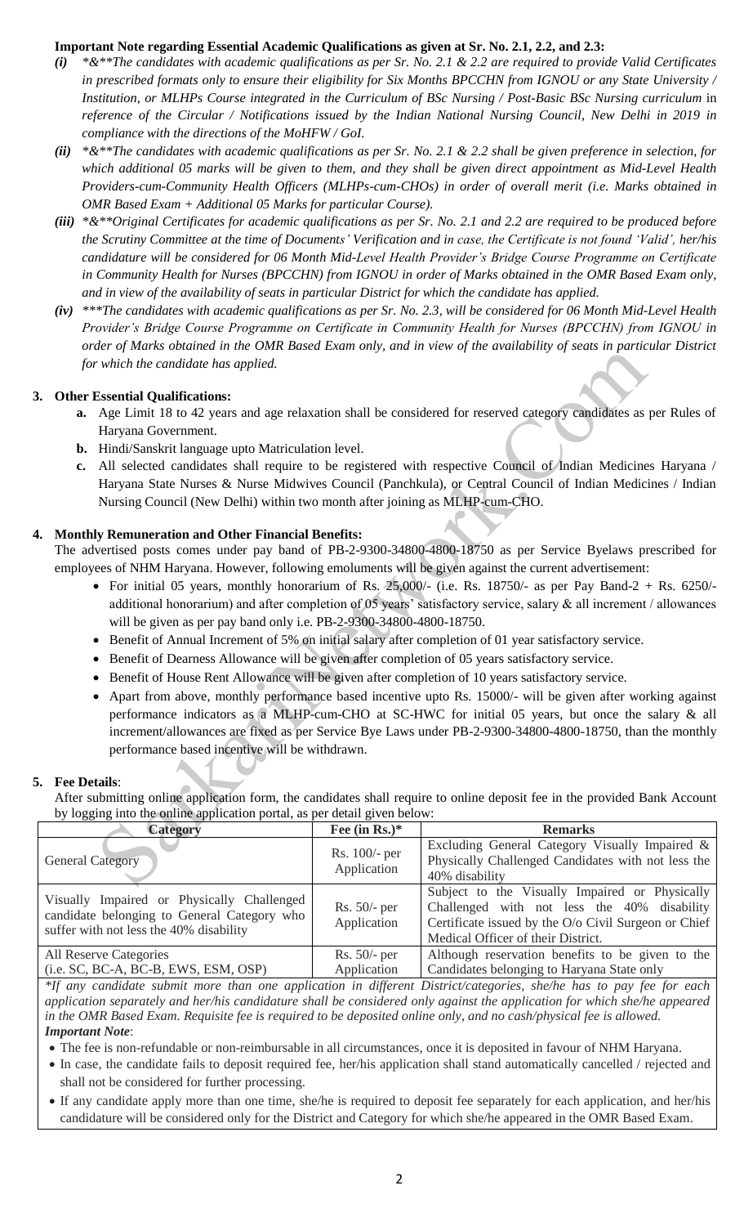# **Important Note regarding Essential Academic Qualifications as given at Sr. No. 2.1, 2.2, and 2.3:**

- *(i) \*&\*\*The candidates with academic qualifications as per Sr. No. 2.1 & 2.2 are required to provide Valid Certificates in prescribed formats only to ensure their eligibility for Six Months BPCCHN from IGNOU or any State University / Institution, or MLHPs Course integrated in the Curriculum of BSc Nursing / Post-Basic BSc Nursing curriculum* in *reference of the Circular / Notifications issued by the Indian National Nursing Council, New Delhi in 2019 in compliance with the directions of the MoHFW / GoI.*
- *(ii) \*&\*\*The candidates with academic qualifications as per Sr. No. 2.1 & 2.2 shall be given preference in selection, for which additional 05 marks will be given to them, and they shall be given direct appointment as Mid-Level Health Providers-cum-Community Health Officers (MLHPs-cum-CHOs) in order of overall merit (i.e. Marks obtained in OMR Based Exam + Additional 05 Marks for particular Course).*
- *(iii) \*&\*\*Original Certificates for academic qualifications as per Sr. No. 2.1 and 2.2 are required to be produced before the Scrutiny Committee at the time of Documents' Verification and in case, the Certificate is not found 'Valid', her/his candidature will be considered for 06 Month Mid-Level Health Provider's Bridge Course Programme on Certificate in Community Health for Nurses (BPCCHN) from IGNOU in order of Marks obtained in the OMR Based Exam only, and in view of the availability of seats in particular District for which the candidate has applied.*
- *(iv) \*\*\*The candidates with academic qualifications as per Sr. No. 2.3, will be considered for 06 Month Mid-Level Health Provider's Bridge Course Programme on Certificate in Community Health for Nurses (BPCCHN) from IGNOU in order of Marks obtained in the OMR Based Exam only, and in view of the availability of seats in particular District for which the candidate has applied.*

# **3. Other Essential Qualifications:**

- **a.** Age Limit 18 to 42 years and age relaxation shall be considered for reserved category candidates as per Rules of Haryana Government.
- **b.** Hindi/Sanskrit language upto Matriculation level.
- **c.** All selected candidates shall require to be registered with respective Council of Indian Medicines Haryana / Haryana State Nurses & Nurse Midwives Council (Panchkula), or Central Council of Indian Medicines / Indian Nursing Council (New Delhi) within two month after joining as MLHP-cum-CHO.

# **4. Monthly Remuneration and Other Financial Benefits:**

The advertised posts comes under pay band of PB-2-9300-34800-4800-18750 as per Service Byelaws prescribed for employees of NHM Haryana. However, following emoluments will be given against the current advertisement:

- For initial 05 years, monthly honorarium of Rs.  $25,000/$  (i.e. Rs. 18750/- as per Pay Band-2 + Rs. 6250/additional honorarium) and after completion of 05 years' satisfactory service, salary & all increment / allowances will be given as per pay band only i.e. PB-2-9300-34800-4800-18750.
- Benefit of Annual Increment of 5% on initial salary after completion of 01 year satisfactory service.
- Benefit of Dearness Allowance will be given after completion of 05 years satisfactory service.
- Benefit of House Rent Allowance will be given after completion of 10 years satisfactory service.
- Apart from above, monthly performance based incentive upto Rs. 15000/- will be given after working against performance indicators as a MLHP-cum-CHO at SC-HWC for initial 05 years, but once the salary & all increment/allowances are fixed as per Service Bye Laws under PB-2-9300-34800-4800-18750, than the monthly performance based incentive will be withdrawn. Even the condition and other Financial Bondier completion of the set of the mathematic schematic schematic schematic schematic schematic schematic schematic schematic schematic schematic schematic Handya Government.<br>
Hind

# **5. Fee Details**:

After submitting online application form, the candidates shall require to online deposit fee in the provided Bank Account by logging into the online application portal, as per detail given below:

| <b>Category</b>                                                                                                                      | Fee (in Rs.) $*$              | <b>Remarks</b>                                                                                                                                                                              |
|--------------------------------------------------------------------------------------------------------------------------------------|-------------------------------|---------------------------------------------------------------------------------------------------------------------------------------------------------------------------------------------|
| <b>General Category</b>                                                                                                              | Rs. 100/- per<br>Application  | Excluding General Category Visually Impaired &<br>Physically Challenged Candidates with not less the<br>40% disability                                                                      |
| Visually Impaired or Physically Challenged<br>candidate belonging to General Category who<br>suffer with not less the 40% disability | $Rs. 50/-$ per<br>Application | Subject to the Visually Impaired or Physically<br>Challenged with not less the 40% disability<br>Certificate issued by the O/o Civil Surgeon or Chief<br>Medical Officer of their District. |
| All Reserve Categories                                                                                                               | $Rs. 50/-$ per                | Although reservation benefits to be given to the                                                                                                                                            |
| (i.e. SC, BC-A, BC-B, EWS, ESM, OSP)                                                                                                 | Application                   | Candidates belonging to Haryana State only                                                                                                                                                  |

*\*If any candidate submit more than one application in different District/categories, she/he has to pay fee for each application separately and her/his candidature shall be considered only against the application for which she/he appeared in the OMR Based Exam. Requisite fee is required to be deposited online only, and no cash/physical fee is allowed. Important Note*:

- The fee is non-refundable or non-reimbursable in all circumstances, once it is deposited in favour of NHM Haryana.
- In case, the candidate fails to deposit required fee, her/his application shall stand automatically cancelled / rejected and shall not be considered for further processing.
- If any candidate apply more than one time, she/he is required to deposit fee separately for each application, and her/his candidature will be considered only for the District and Category for which she/he appeared in the OMR Based Exam.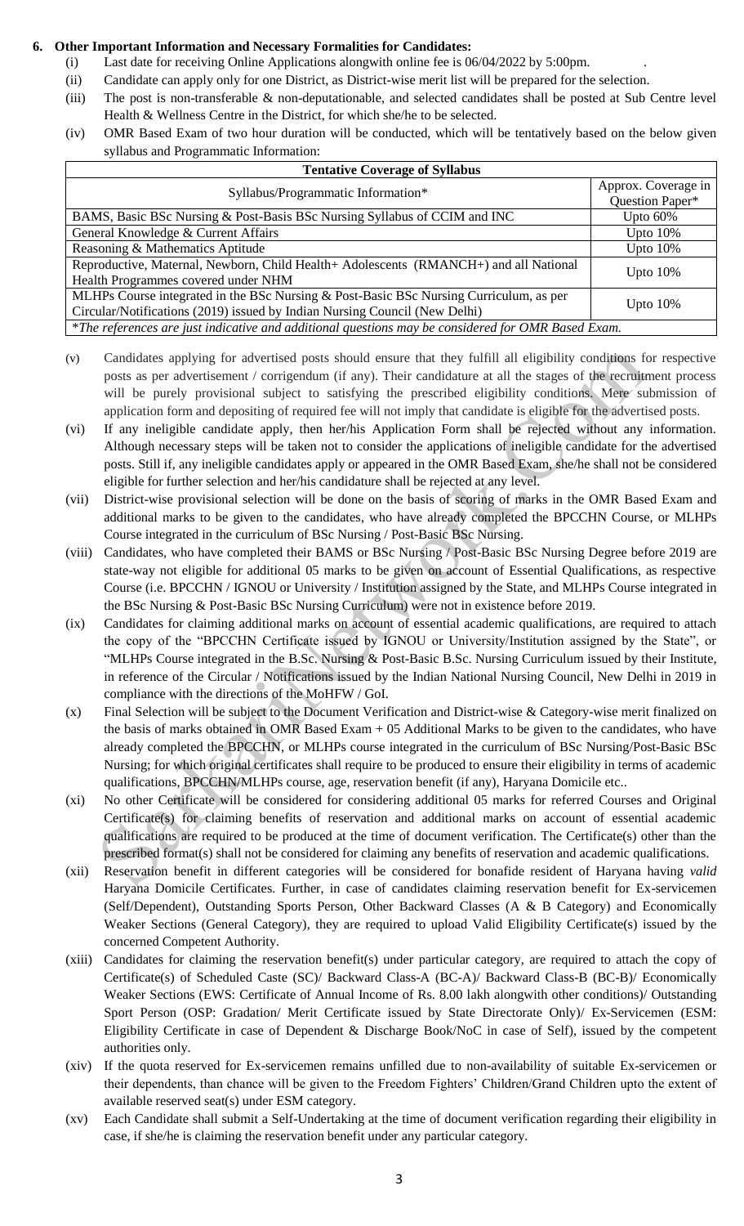#### **6. Other Important Information and Necessary Formalities for Candidates:**

- (i) Last date for receiving Online Applications alongwith online fee is 06/04/2022 by 5:00pm. .
- (ii) Candidate can apply only for one District, as District-wise merit list will be prepared for the selection.
- (iii) The post is non-transferable & non-deputationable, and selected candidates shall be posted at Sub Centre level Health & Wellness Centre in the District, for which she/he to be selected.
- (iv) OMR Based Exam of two hour duration will be conducted, which will be tentatively based on the below given syllabus and Programmatic Information:

| <b>Tentative Coverage of Syllabus</b>                                                              |                     |  |  |  |  |
|----------------------------------------------------------------------------------------------------|---------------------|--|--|--|--|
| Syllabus/Programmatic Information*                                                                 | Approx. Coverage in |  |  |  |  |
|                                                                                                    | Question Paper*     |  |  |  |  |
| BAMS, Basic BSc Nursing & Post-Basis BSc Nursing Syllabus of CCIM and INC                          | Upto $60\%$         |  |  |  |  |
| General Knowledge & Current Affairs                                                                | Upto $10\%$         |  |  |  |  |
| Reasoning & Mathematics Aptitude                                                                   | Upto $10\%$         |  |  |  |  |
| Reproductive, Maternal, Newborn, Child Health+ Adolescents (RMANCH+) and all National              | Upto $10\%$         |  |  |  |  |
| Health Programmes covered under NHM                                                                |                     |  |  |  |  |
| MLHPs Course integrated in the BSc Nursing & Post-Basic BSc Nursing Curriculum, as per             | Upto $10\%$         |  |  |  |  |
| Circular/Notifications (2019) issued by Indian Nursing Council (New Delhi)                         |                     |  |  |  |  |
| *The references are just indicative and additional questions may be considered for OMR Based Exam. |                     |  |  |  |  |

- (v) Candidates applying for advertised posts should ensure that they fulfill all eligibility conditions for respective posts as per advertisement / corrigendum (if any). Their candidature at all the stages of the recruitment process will be purely provisional subject to satisfying the prescribed eligibility conditions. Mere submission of application form and depositing of required fee will not imply that candidate is eligible for the advertised posts.
- (vi) If any ineligible candidate apply, then her/his Application Form shall be rejected without any information. Although necessary steps will be taken not to consider the applications of ineligible candidate for the advertised posts. Still if, any ineligible candidates apply or appeared in the OMR Based Exam, she/he shall not be considered eligible for further selection and her/his candidature shall be rejected at any level.
- (vii) District-wise provisional selection will be done on the basis of scoring of marks in the OMR Based Exam and additional marks to be given to the candidates, who have already completed the BPCCHN Course, or MLHPs Course integrated in the curriculum of BSc Nursing / Post-Basic BSc Nursing.
- (viii) Candidates, who have completed their BAMS or BSc Nursing / Post-Basic BSc Nursing Degree before 2019 are state-way not eligible for additional 05 marks to be given on account of Essential Qualifications, as respective Course (i.e. BPCCHN / IGNOU or University / Institution assigned by the State, and MLHPs Course integrated in the BSc Nursing & Post-Basic BSc Nursing Curriculum) were not in existence before 2019.
- (ix) Candidates for claiming additional marks on account of essential academic qualifications, are required to attach the copy of the "BPCCHN Certificate issued by IGNOU or University/Institution assigned by the State", or "MLHPs Course integrated in the B.Sc. Nursing & Post-Basic B.Sc. Nursing Curriculum issued by their Institute, in reference of the Circular / Notifications issued by the Indian National Nursing Council, New Delhi in 2019 in compliance with the directions of the MoHFW / GoI. Candidates applying for advertised posts should ensure that they fulfill all eligibility conditions for some set are developed and the stars are are during that they for each that stars are are during that the stars of th
- (x) Final Selection will be subject to the Document Verification and District-wise & Category-wise merit finalized on the basis of marks obtained in OMR Based Exam + 05 Additional Marks to be given to the candidates, who have already completed the BPCCHN, or MLHPs course integrated in the curriculum of BSc Nursing/Post-Basic BSc Nursing; for which original certificates shall require to be produced to ensure their eligibility in terms of academic qualifications, BPCCHN/MLHPs course, age, reservation benefit (if any), Haryana Domicile etc..
- (xi) No other Certificate will be considered for considering additional 05 marks for referred Courses and Original Certificate(s) for claiming benefits of reservation and additional marks on account of essential academic qualifications are required to be produced at the time of document verification. The Certificate(s) other than the prescribed format(s) shall not be considered for claiming any benefits of reservation and academic qualifications.
- (xii) Reservation benefit in different categories will be considered for bonafide resident of Haryana having *valid* Haryana Domicile Certificates. Further, in case of candidates claiming reservation benefit for Ex-servicemen (Self/Dependent), Outstanding Sports Person, Other Backward Classes (A & B Category) and Economically Weaker Sections (General Category), they are required to upload Valid Eligibility Certificate(s) issued by the concerned Competent Authority.
- (xiii) Candidates for claiming the reservation benefit(s) under particular category, are required to attach the copy of Certificate(s) of Scheduled Caste (SC)/ Backward Class-A (BC-A)/ Backward Class-B (BC-B)/ Economically Weaker Sections (EWS: Certificate of Annual Income of Rs. 8.00 lakh alongwith other conditions)/ Outstanding Sport Person (OSP: Gradation/ Merit Certificate issued by State Directorate Only)/ Ex-Servicemen (ESM: Eligibility Certificate in case of Dependent & Discharge Book/NoC in case of Self), issued by the competent authorities only.
- (xiv) If the quota reserved for Ex-servicemen remains unfilled due to non-availability of suitable Ex-servicemen or their dependents, than chance will be given to the Freedom Fighters' Children/Grand Children upto the extent of available reserved seat(s) under ESM category.
- (xv) Each Candidate shall submit a Self-Undertaking at the time of document verification regarding their eligibility in case, if she/he is claiming the reservation benefit under any particular category.